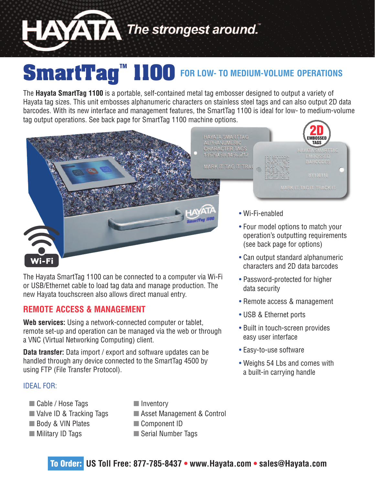

# **SmartTag™ 1100 FOR LOW- TO MEDIUM-VOLUME OPERATIONS**

The **Hayata SmartTag 1100** is a portable, self-contained metal tag embosser designed to output a variety of Hayata tag sizes. This unit embosses alphanumeric characters on stainless steel tags and can also output 2D data barcodes. With its new interface and management features, the SmartTag 1100 is ideal for low- to medium-volume tag output operations. See back page for SmartTag 1100 machine options.



The Hayata SmartTag 1100 can be connected to a computer via Wi-Fi or USB/Ethernet cable to load tag data and manage production. The new Hayata touchscreen also allows direct manual entry.

## **REMOTE ACCESS & MANAGEMENT**

**Web services:** Using a network-connected computer or tablet, remote set-up and operation can be managed via the web or through a VNC (Virtual Networking Computing) client.

**Data transfer:** Data import / export and software updates can be handled through any device connected to the SmartTag 4500 by using FTP (File Transfer Protocol).

#### IDEAL FOR:

- Cable / Hose Tags
- Valve ID & Tracking Tags
- Body & VIN Plates
- **Nilitary ID Tags**
- $\blacksquare$  Inventory
- Asset Management & Control
- Component ID
- Serial Number Tags
- characters and 2D data barcodes
- Password-protected for higher data security
- Remote access & management
- USB & Ethernet ports
- Built in touch-screen provides easy user interface
- Easy-to-use software
- Weighs 54 Lbs and comes with a built-in carrying handle